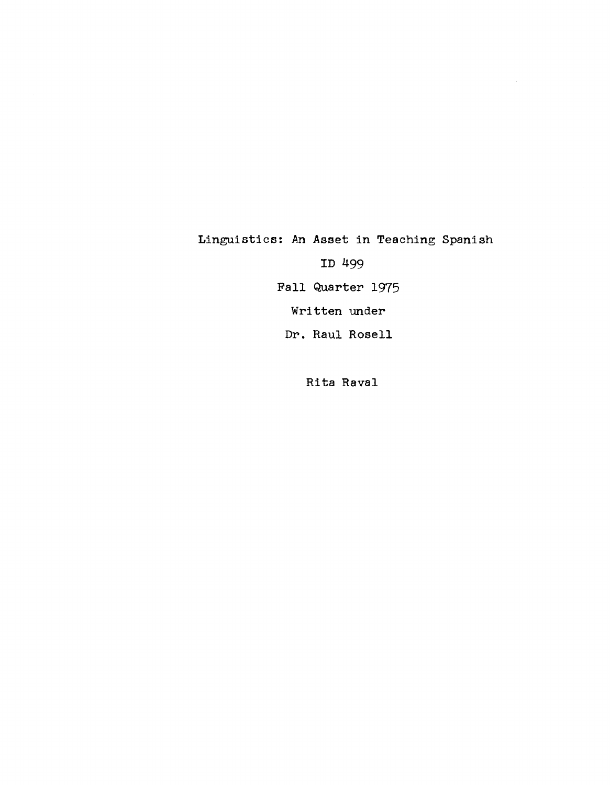Linguistics: An Asset in Teaching Spanish

 $\bar{z}$ 

ID 499

Fall Quarter 1975

Written under

Dr. Raul Rosell

Rita Raval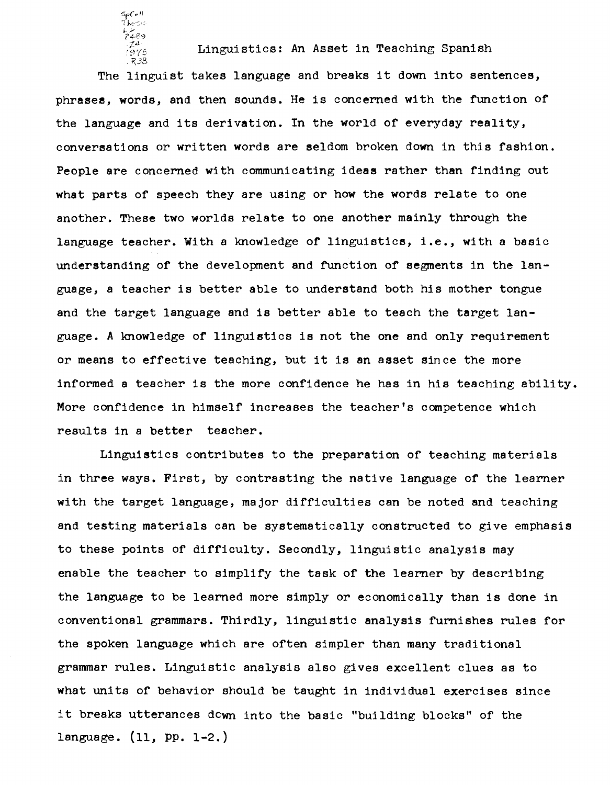Linguistics: An Asset in Teaching Spanish The linguist takes language and breaks it down into sentences, phrases, words, and then sounds. He is concerned with the function of the language and its derivation. In the world of everyday reality, conversations or written words are seldom broken down in this fashion. People are concerned with communicating ideas rather than finding out what parts of speech they are using or how the words relate to one another. These two worlds relate to one another mainly through the language teacher. With a knowledge of linguistics, i.e., with a basic understanding of the development and function of segments in the language, a teacher is better able to understand both his mother tongue and the target language and is better able to teach the target language. A knowledge of linguistics is not the one and only requirement or means to effective teaching, but it is an asset since the more informed a teacher is the more confidence he has in his teaching ability. More confidence in himself increases the teacher's competence which results in a better teacher.

SpCo11<br>Thesis <sup>~</sup>;...' *?Jf-f?,:)* 

Linguistics contributes to the preparation of teaching materials in three ways. First, by contrasting the native language of the learner with the target language, major difficulties can be noted and teaching and testing materials can be systematically constructed to give emphasis to these points of difficulty. Secondly, linguistic analysis may enable the teacher to simplify the task of the learner by describing the language to be learned more Simply or economically than is done in conventional grammars. Thirdly, linguistic analysis furnishes rules for the spoken language which are often Simpler than many traditional grammar rules. Linguistic analysis also gives excellent clues as to what units of behavior should be taught in individual exercises since it breaks utterances dcwn into the basic "building blocks" of the language. (11, PP. 1-2.)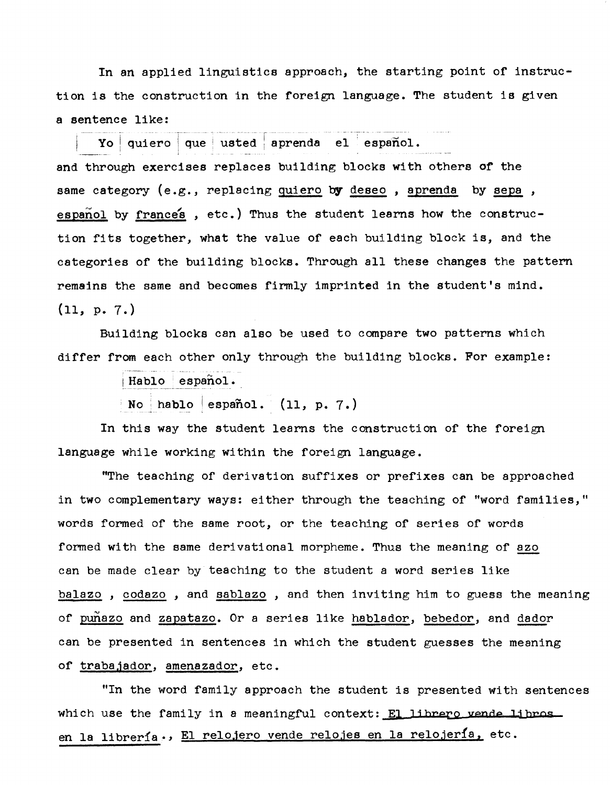In an applied linguistics approach, the starting point of instruction is the construction in the foreign language. The student is given a sentence like:

 $\mathbf{Yo}\mid \mathbf{qu}$ iero  $\mid \mathbf{qu}$ e  $\mid$  usted  $\mid$  aprenda el  $\mid$  español.

and through exercises replaces building blocks with others of the same category  $(e.g.,$  replacing quiero by deseo, aprenda by sepa, espanol by frances, etc.) Thus the student learns how the construction fits together, what the value of each building block is, and the categories of the building blocks. Through all these changes the pattern remains the same and becomes firmly imprinted in the student's mind. (11, p. 7.)

Building blocks can also be used to compare two patterns which differ from each other only through the building blocks. For example:

 $|$  Hablo  $|$  español.

No hablo español.  $(11, p. 7.)$ 

In this way the student learns the construction of the foreign language while working within the foreign language.

"The teaching of derivation suffixes or prefixes can be approached in two complementary ways: either through the teaching of "word families," words formed of the same root, or the teaching of series of words formed with the same derivational morpheme. Thus the meaning of azo can be made clear by teaching to the student a word series like balazo , codazo , and sablazo , and then inviting him to guess the meaning of punazo and zapatazo. Or a series like hablador, bebedor, and dador can be presented in sentences in which the student guesses the meaning of trabajador, amenazador, etc.

"In the word family approach the student is presented with sentences which use the family in a meaningful context: El librero vende libros. en la librería., El relojero vende relojes en la relojería, etc.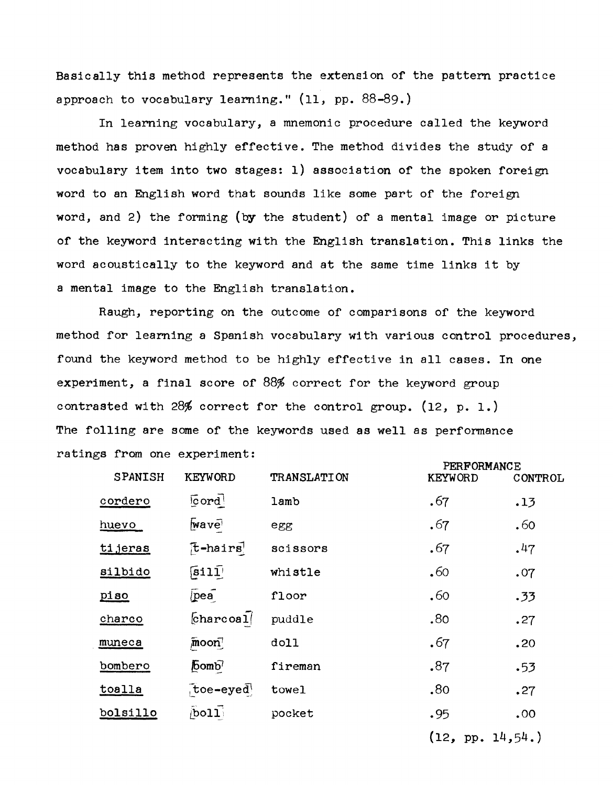Basically this method represents the extension of the pattern practice approach to vocabulary learning." (11, pp. 88-89.)

In learning vocabulary, a mnemonic procedure called the keyword method has proven highly effective. The method divides the study of a vocabulary item into two stages: 1) association of the spoken foreign word to an English word that sounds like some part of the foreign word, and 2) the forming (by the student) of a mental image or picture of the keyword interacting with the English translation. This links the word acoustically to the keyword and at the same time links it by a mental image to the English translation.

Raugh, reporting on the outcome of comparisons of the keyword method for learning a Spanish vocabulary with various control procedures, found the keyword method to be highly effective in all cases. In one experiment, a final score of 88% correct for the keyword group contrasted with 28% correct for the control group. (12, p. 1.) The foIling are some of the keywords used as well as performance ratings from one experiment:

| <b>SPANISH</b>         | <b>KEYWORD</b>                    | <b>TRANSLATION</b> | PERFORMANCE<br><b>KEYWORD</b> |         |  |
|------------------------|-----------------------------------|--------------------|-------------------------------|---------|--|
|                        |                                   |                    |                               | CONTROL |  |
| $\sqrt{3}$<br>cordero  |                                   | lamb               | .67                           | .13     |  |
| huevo                  | <b>wave</b>                       | egg                | .67                           | .60     |  |
| $[t-hairs]$<br>tijeras |                                   | scissors           | .67                           | .47     |  |
| silbido                | $\widehat{\mathsf{[sil1]}}$       | whistle            | .60                           | .07     |  |
| piso                   | $\sqrt{\text{pea}}$               | floor              | .60                           | .33     |  |
| charco                 | $charcoal$                        | puddle             | .80                           | .27     |  |
| muneca                 | $\sqrt{m}$ oon                    | doll               | .67                           | .20     |  |
| bombero                | $\sqrt{6}$ omb <sup>7</sup>       | fireman            | .87                           | .53     |  |
| toalla                 | $\tau$ toe-eyed                   | towel              | .80                           | .27     |  |
| bolsillo               | $\overline{b}$ oll $\overline{b}$ | pocket             | .95                           | .00.    |  |
|                        |                                   |                    | (12, pp. 14, 54.)             |         |  |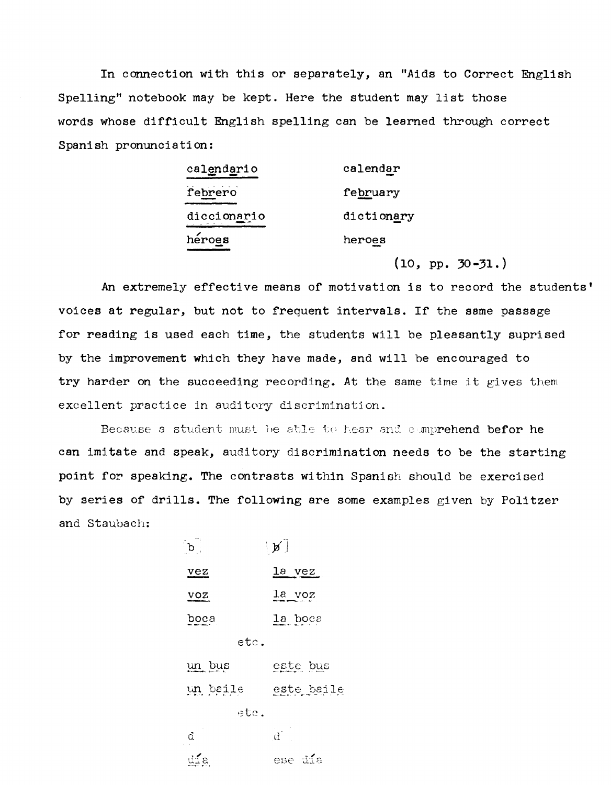In connection with this or separately, an "Aids to Correct English Spelling" notebook may be kept. Here the student may list those words whose difficult English spelling can be learned through correct Spanish pronunciation:

| calendario  | calendar   |  |  |
|-------------|------------|--|--|
| febrero     | february   |  |  |
| diccionario | dictionary |  |  |
| héroes      | heroes     |  |  |

 $(10, pp. 30-31.)$ 

An extremely effective means of motivation is to record the students' voices at regular, but not to frequent intervals. If the same passage for reading is used each time, the students will be pleasantly suprised by the improvement which they have made, and will be encouraged to try harder on the succeeding recording. At the same time it gives them excellent practice in auditory discrimination.

Because a student must be able to hear and comprehend befor he can imitate and speak, auditory discrimination needs to be the starting point for speaking. The contrasts within Spanish should be exercised by series of drills. The following are some examples given by Politzer and Staubach:

| $\mathbf{b}$ .  | $\lfloor p \rfloor$ |
|-----------------|---------------------|
| vez             | la vez              |
| VOZ             | $\frac{1a}{1}$ voz  |
| boca            | la boca             |
| etc.            |                     |
| un bus          | este bus            |
| un baile        | este baile          |
| etc.            |                     |
| $\alpha$        | $\alpha^{\pm}$      |
| $\mathbb{E}$ za | ese día             |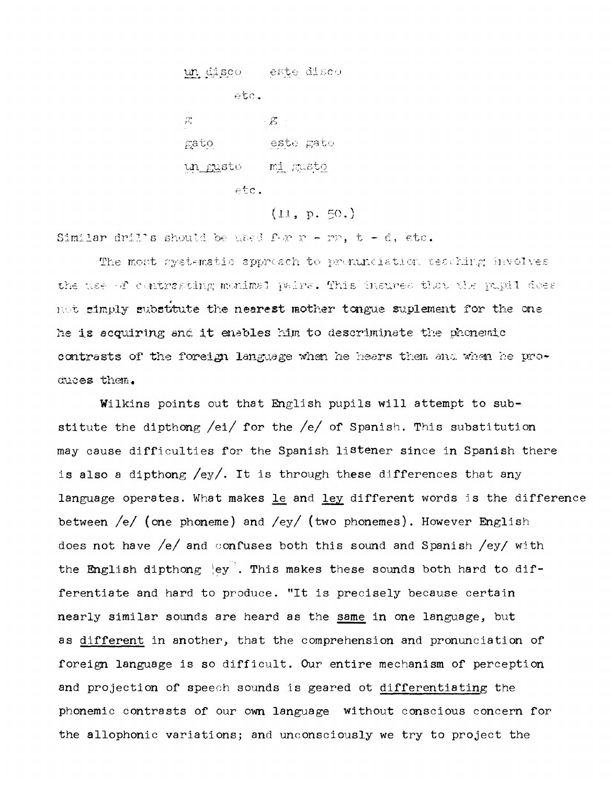un disco este disco etc.  $\beta^{\star}$  $\cdot$   $\mathcal{E}$ gato este gato un gusto - mi gusto  $etc.$ 

 $(11, p, 50.)$ 

Similar drills should be used for  $r - m$ ,  $t - d$ , etc.

The most systematic approach to pronunciation teaching involves the use of contrasting monimal pairs. This insures that the pupil does not simply substitute the nearest mother tongue suplement for the one he is acquiring and it enables him to descriminate the phonemic contrasts of the foreign language when he hears them and when he produces them.

Wilkins points out that English pupils will attempt to substitute the dipthong /ei/ for the /e/ of Spanish. This substitution may cause difficulties for the Spanish listener since in Spanish there is also a dipthong  $\text{/ey/}.$  It is through these differences that any language operates. What makes le and ley different words is the difference between /e/ (one phoneme) and /ey/ (two phonemes). However English does not have /e/ and confuses both this sound and Spanish /ey/ with the English dipthong ley. This makes these sounds both hard to differentiate and hard to produce. "It is precisely because certain nearly similar sounds are heard as the same in one language, but as different in another, that the comprehension and pronunciation of foreign language is so difficult. Our entire mechanism of perception and projection of speech sounds is geared ot differentiating the phonemic contrasts of our own language without conscious concern for the allophonic variations; and unconsciously we try to project the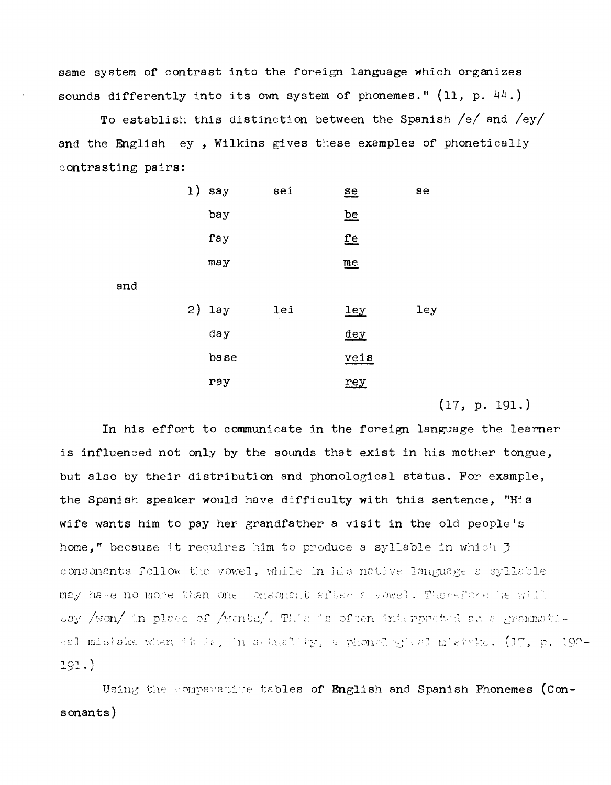same system of contrast into the foreign language which organizes sounds differently into its own system of phonemes."  $(11, p, 44)$ 

To establish this distinction between the Spanish  $/e/$  and  $/ey/$ and the English ey, Wilkins gives these examples of phonetically contrasting pairs:

| 1) | say  | sei | $ae$                      | se  |
|----|------|-----|---------------------------|-----|
|    | bay  |     | be                        |     |
|    | fay  |     | <u>fe</u>                 |     |
|    | may  |     | $\underline{\mathbf{me}}$ |     |
|    |      |     |                           |     |
| 2) | lay  | lei | $ley$                     | ley |
|    | day  |     | $dev$                     |     |
|    | base |     | veis                      |     |
|    | ray  |     | rey                       |     |
|    |      |     |                           |     |

and

 $(17, p. 191.)$ 

In his effort to communicate in the foreign language the learner is influenced not only by the sounds that exist in his mother tongue, but also by their distribution and phonological status. For example, the Spanish speaker would have difficulty with this sentence, "His wife wants him to pay her grandfather a visit in the old people's home," because it requires him to produce a syllable in which 3 consonents follow the vowel, while in his native language a syllable may have no more than one consonant after a vowel. Therefore he will say /won/ in place of /wonts/. This is often interpreted as a grammatibel mistake when it is, in actuality, a phonological mistake. (37, p. 190- $191.$ 

Using the comparative tables of English and Spanish Phonemes (Consonants)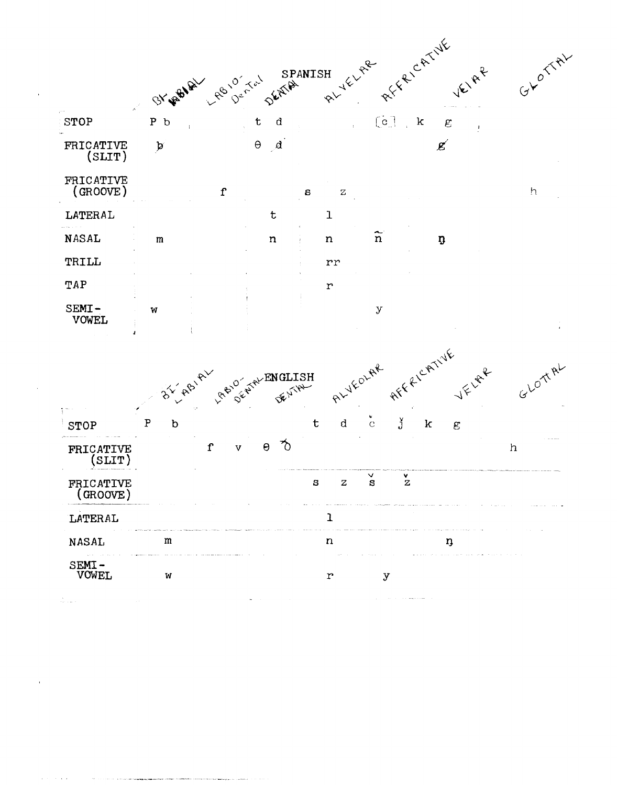

 $\mathbb{Z}_{p+1,\mathbf{m},\mathbf{q}}^{k}$  .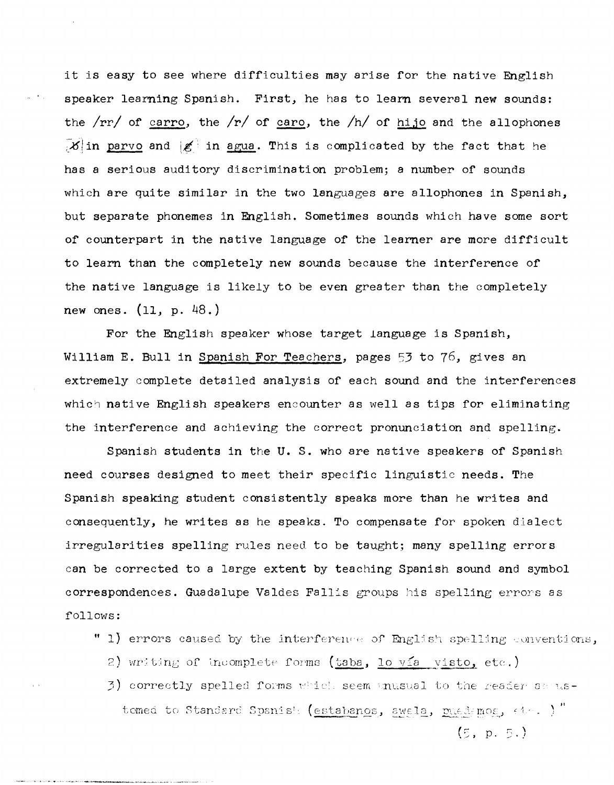it is easy to see where difficulties may arise for the native English speaker learning Spanish. First, he has to learn several new sounds: the  $rr/$  of carro, the  $rr/$  of caro, the  $/h/$  of hijo and the allophones  $\mathbb{E}[\mathcal{X}]$  in parvo and  $\mathbb{E}[\mathcal{X}]$  in agua. This is complicated by the fact that he has a serious auditory discrimination problem; a number of sounds which are quite similar in the two languages are allophones in Spanish, but separate phonemes in English. Sometimes sounds which have some sort of counterpart in the native language of the learner are more difficult to learn than the completely new sounds because the interference of the native language is likely to be even greater than the completely new ones. (11, p. 48.)

For the English speaker whose target language is Spanish, William E. Bull in Spanish For Teachers, pages 53 to 76, gives an extremely complete detailed analysis of each sound and the interferences which native English speakers encounter as well as tips for eliminating the interference and achieving the correct pronunciation and spelling.

Spanish students in the U. S. who are native speakers of Spanish need courses designed to meet their specific linguistic needs. The Spanish speaking student consistently speaks more than he writes and consequently, he writes as he speaks. To compensate for spoken dialect irregularities spelling rules need to be taught; many spelling errors can be corrected to a large extent by teaching Spanish sound and symbol correspondences. Guadalupe Valdes Fallis groups his spelling errors as follows:

- " 1) errors caused by the interference of English spelling conventions,
	- 2) writing of incomplete forms (taba, lo via visto, etc.)
	- $3)$  correctly spelled forms which seem unusual to the reader serustomed to Standard Spanish (estabanos, awela, puedemos,  $\epsilon \leftrightarrow \frac{1}{2}$ "

 $(5, p, 5)$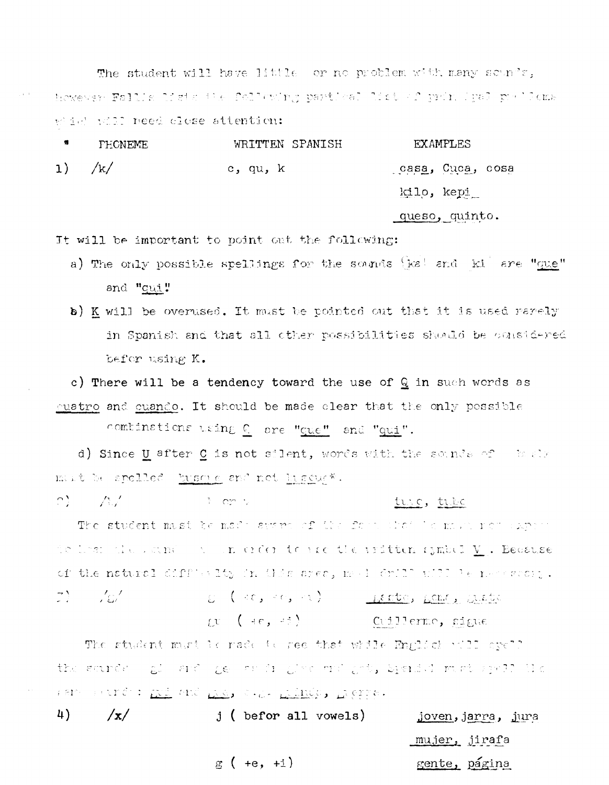The student will have little or no problem with many sounds, thowever Fallis Meteothe following partical Mistorf principal positoms wid will need close attention:

| 惟 | PHONEME  | WRITTEN SPANISH | <b>EXAMPLES</b>  |
|---|----------|-----------------|------------------|
|   | 1) $/k/$ | c, qu, k        | casa, Cuca, cosa |
|   |          |                 | kilo, kepi_      |
|   |          |                 | queso, quinto.   |

It will be important to point out the following:

- a) The only possible spellings for the sounds [ka! and ki are "que" and "qui"
- b) K will be overused. It must be pointed out that it is used rarely in Spanish and that all other possibilities should be considered befor using K.

c) There will be a tendency toward the use of  $Q$  in such words as quatro and quando. It should be made clear that the only possible

combinations using  $C$  are "que" and "qui".

in Pill comitati

d) Since U after C is not silent, words with the sounds of their mut be spelled busine and not his cus\*.

 $\langle \mathcal{O} \rangle = \langle \mathcal{O} \rangle / \langle \mathcal{O} \rangle$ 

## ture, tube

The student must be made aware of the face that is more removement de los classando a un créer toure the unitten symbol  $\underline{V}$  . Because of the natural difficulty in this area, med drill will be necessary. E (30, 30, 31) Lette, Lette Clebe 7) 767 gu (46, 45) Cullermo, gigue

The student must be rade to see that widle English will spell the sander of and general give and got, breaded most spell lie TEM TELECO: <u>ALL CHO ALL CHO ALLE</u> ACTIO

| 4) | /x/ | $j$ ( befor all vowels) | joven, jarra, jura |
|----|-----|-------------------------|--------------------|
|    |     |                         | mujer, jirafa      |
|    |     | $g (+e, +i)$            | gente, página      |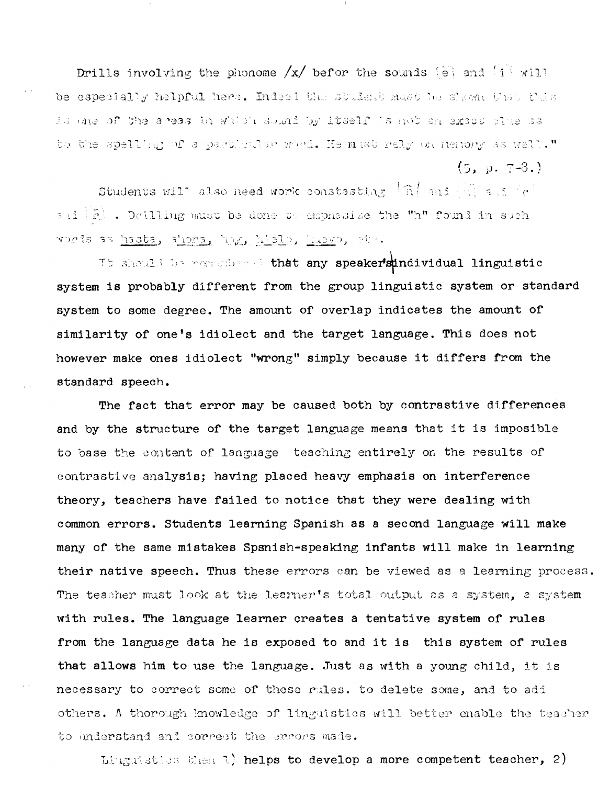Drills involving the phonome  $/x/$  befor the sounds  $\boxed{\frac{1}{2}}$  and  $\boxed{1}$  will be especially helpful here. Indeel the student must be shown that this is one of the aceas in which sound by itself is not an exact clue as to the spelling of a particular word. He must rely on nenory as well."  $(5, p. 7-3.)$ 

Students will also need work constasting  $\lceil \tilde{n} \rceil$  and  $\lceil \tilde{n} \rceil$  and  $\lceil e \rceil$ and  $|\tilde{c}|$  . Detiling must be done to emphasize the "h" found in such words as hasta, shora, hog, hielo, huevo, etc.

It should be genericant that any speakersindividual linguistic system is probably different from the group linguistic system or standard system to some degree. The amount of overlap indicates the amount of similarity of one's idiolect and the target language. This does not however make ones idiolect "wrong" simply because it differs from the standard speech.

The fact that error may be caused both by contrastive differences and by the structure of the target language means that it is imposible to base the content of language teaching entirely on the results of contrastive analysis; having placed heavy emphasis on interference theory, teachers have failed to notice that they were dealing with common errors. Students learning Spanish as a second language will make many of the same mistakes Spsnish-speaking infants will make in learning their native speech. Thus these errors can be viewed as a learning process. The teacher must look at the learner's total output as a system, a system with rules. The language learner creates a tentative system of rules from the language data he is exposed to and it is this system of rules that allows him to use the language. Just as with a young child, it is necessary to correct some of these rules. to delete some, and to add others. A thorough knowledge of linguistics will better enable the teacher to understand and correct the errors made.

Linguisties then 1) helps to develop a more competent teacher, 2)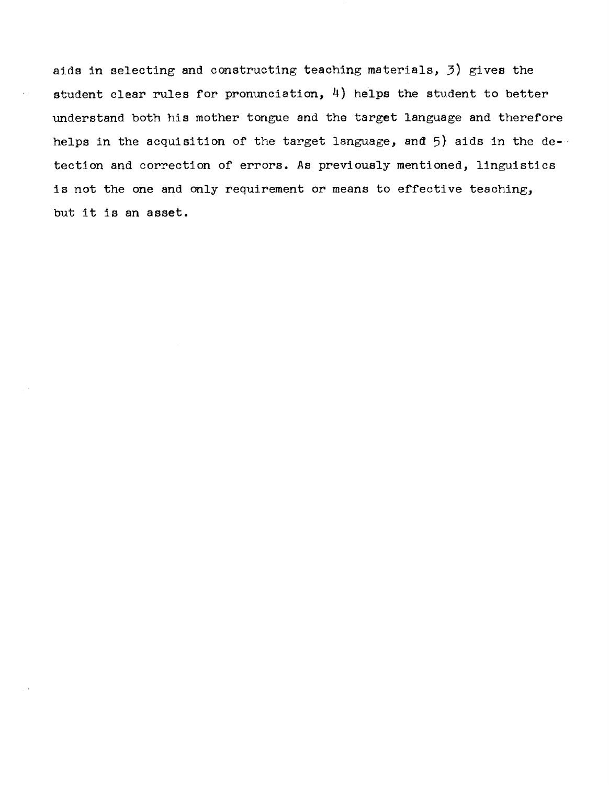aids in selecting and constructing teaching materials, 3) gives the student clear rules for pronunciation, 4) helps the student to better understand both his mother tongue and the target language and therefore helps in the acquisition of the target language, and 5) aids in the detection and correction of errors. As previously mentioned, linguistics is not the one and only requirement or means to effective teaching, but it is an asset.

 $\mu \rightarrow \nu$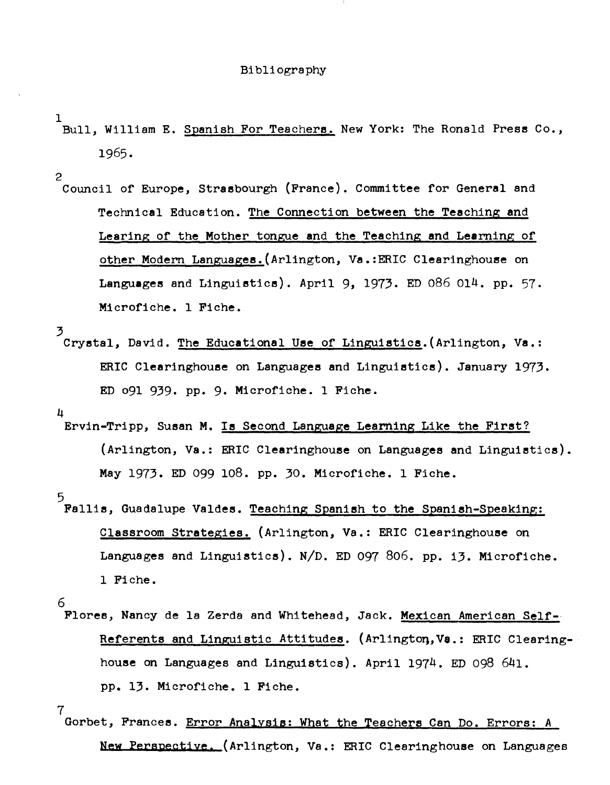#### Bibliography

- 1 .<br>Bull, William E. Spanish For Teachers. New York: The Ronald Press Co., 1965.
- 2 Council of Europe, Strasbourgh (France). Committee for General and Technical Education. The Connection between the Teaching and Learing of the Mother tongue and the Teaching and Learning of other Modern Languages.(Arlington, Va.:ERIC Clearinghouse on Languages and Linguistics). April 9, 1973. ED 086 014. pp. 57. Microfiche. 1 Fiche.
- 3 Crystal, David. The Educational Use of Linguistics. (Arlington, Va.: ERIC Clearinghouse on Languages and Linguistics). January 1973. ED 091 939. pp. 9. Microfiche. 1 Fiche.

4

Ervin-Tripp, Susan M. Is Second Language Learning Like the First? (Arlington, Va.: ERIC Clearinghouse on Languages and Linguistics). May 1973. ED 099 108. pp. 30. Microfiche. 1 Fiche.

5

Fallis, Guadalupe Valdes. Teaching Spanish to the Spanish-Speaking: Classroom Strategies. (Arlington, Va.: ERIC Clearinghouse on Languages and Linguistics). *N/D.* ED 097 806. pp. i3. Microfiche. 1 Fiche.

Flores, Nancy de la Zerda and Whitehead, Jack. Mexican American Self-Referents and Linguistic Attitudes. (Arlingtoq,Ve.: ERIC Clearinghouse on Languages and Linguistics). April 1974. ED 098 641. pp. 13. Microfiche. 1 Fiche.

7

Gorbet, Frances. Error Analysis: What the Teachers Can Do. Errors: *A*  New Perspective. (Arlington, Va.: ERIC Clearinghouse on Languages

<sup>6</sup>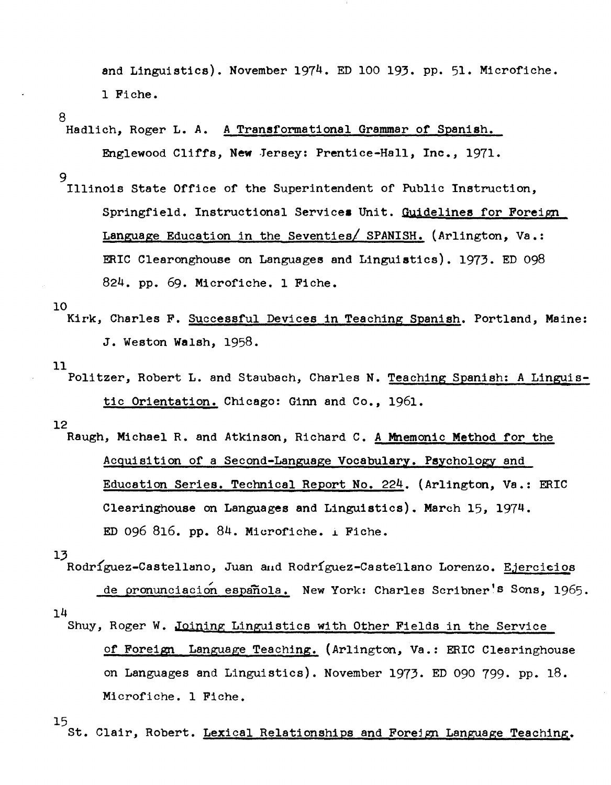and Linguistics). November 1974. ED 100 193. pp. 51. Microfiche. 1 Fiche.

8

Hadlich, Roger L. A. A Transformational Grammar of Spanish.

Englewood Cliffs, **New** Jersey: Prentice-Hall, Inc., 1971.

9

Illinois State Office of the Superintendent of Public Instruction, Springfield. Instructional Services Unit. Guidelines for Foreign Language Education in the Seventies/ SPANISH. (Arlington, Va.: ERIC Clearonghouse on Languages and Linguistics). 1973. ED 098 824. pp. 69. Microfiche. 1 Fiche.

10

Kirk, Charles F. Successful Devices in Teaching Spanish. Portland, Maine: J. Weston Walsh, 1958.

11

Politzer, Robert L. and Staubach, Charles N. Teaching Spanish: A Linguistic Orientation. Chicago: Ginn and Co., 1961.

12

Raugh, Michael R. and Atkinson, Richard C. A Mnemonic Method for the ACquisition of a Second-Language Vocabulary. Psychology and Education Series. Technical Report No. 224. (Arlington, Va.: ERIC Clearinghouse on Languages and Linguistics). March 15, 1974. ED 096 816. pp. 84. Microfiche.  $\angle$  Fiche.

13

Rodríguez-Castellano, Juan aud Rodríguez-Castellano Lorenzo. Ejercicios 14 de pronunciacion española. New York: Charles Scribner's Sons, 1965.

Shuy, Roger W. Joining Linguistics with Other Fields in the Seryice of Foreign Language Teaching. (Arlington, Va.: ERIC Clearinghouse on Languages and Linguistics). November 1973. ED 090 799. pp. 18. Microfiche. 1 Fiche.

15

St. Clair, Robert. Lexical Relationships and Foreign Language Teaching.